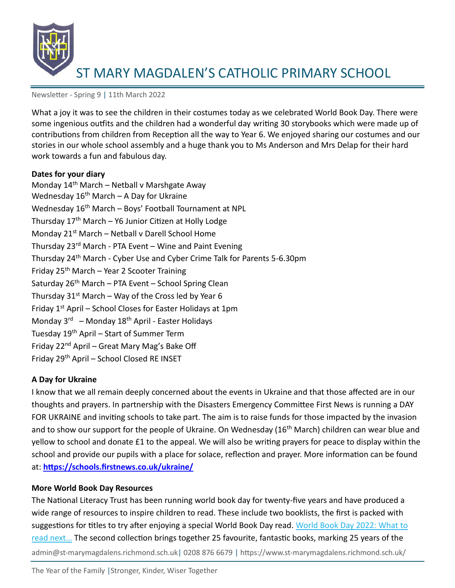

Newsletter - Spring 9 | 11th March 2022

What a joy it was to see the children in their costumes today as we celebrated World Book Day. There were some ingenious outfits and the children had a wonderful day writing 30 storybooks which were made up of contributions from children from Reception all the way to Year 6. We enjoyed sharing our costumes and our stories in our whole school assembly and a huge thank you to Ms Anderson and Mrs Delap for their hard work towards a fun and fabulous day.

#### **Dates for your diary**

Monday 14<sup>th</sup> March – Netball v Marshgate Away Wednesday  $16<sup>th</sup>$  March – A Day for Ukraine Wednesday 16<sup>th</sup> March - Boys' Football Tournament at NPL Thursday 17<sup>th</sup> March - Y6 Junior Citizen at Holly Lodge Monday 21<sup>st</sup> March - Netball v Darell School Home Thursday 23rd March - PTA Event – Wine and Paint Evening Thursday 24th March - Cyber Use and Cyber Crime Talk for Parents 5-6.30pm Friday  $25<sup>th</sup>$  March – Year 2 Scooter Training Saturday  $26<sup>th</sup>$  March – PTA Event – School Spring Clean Thursday  $31^{st}$  March – Way of the Cross led by Year 6 Friday  $1<sup>st</sup>$  April – School Closes for Easter Holidays at 1pm Monday 3<sup>rd</sup> – Monday 18<sup>th</sup> April - Easter Holidays Tuesday 19th April – Start of Summer Term Friday 22<sup>nd</sup> April – Great Mary Mag's Bake Off Friday 29th April – School Closed RE INSET

### **A Day for Ukraine**

I know that we all remain deeply concerned about the events in Ukraine and that those affected are in our thoughts and prayers. In partnership with the Disasters Emergency Committee First News is running a DAY FOR UKRAINE and inviting schools to take part. The aim is to raise funds for those impacted by the invasion and to show our support for the people of Ukraine. On Wednesday (16<sup>th</sup> March) children can wear blue and yellow to school and donate £1 to the appeal. We will also be writing prayers for peace to display within the school and provide our pupils with a place for solace, reflection and prayer. More information can be found at: **<https://schools.firstnews.co.uk/ukraine/>**

### **More World Book Day Resources**

admin@st-marymagdalens.richmond.sch.uk| 0208 876 6679 | https://www.st-marymagdalens.richmond.sch.uk/ The National Literacy Trust has been running world book day for twenty-five years and have produced a wide range of resources to inspire children to read. These include two booklists, the first is packed with suggestions for titles to try after enjoying a special World Book Day read. World Book Day 2022: What to read next... The second collection brings together 25 favourite, fantastic books, marking 25 years of the